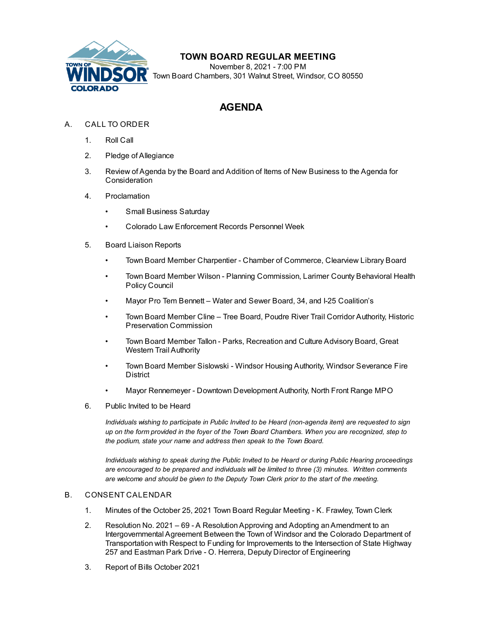

## **TOWN BOARD REGULAR MEETING**

November 8, 2021 - 7:00 PM Town Board Chambers, 301 Walnut Street, Windsor, CO 80550

# **AGENDA**

- A. CALL TO ORDER
	- 1. Roll Call
	- 2. Pledge of Allegiance
	- 3. Review of Agenda by the Board and Addition of Items of New Business to the Agenda for **Consideration**
	- 4. Proclamation
		- Small Business Saturday
		- Colorado Law Enforcement Records Personnel Week
	- 5. Board Liaison Reports
		- Town Board Member Charpentier Chamber of Commerce, Clearview Library Board
		- Town Board Member Wilson Planning Commission, Larimer County Behavioral Health Policy Council
		- Mayor Pro Tem Bennett Water and Sewer Board, 34, and I-25 Coalition's
		- Town Board Member Cline Tree Board, Poudre River Trail Corridor Authority, Historic Preservation Commission
		- Town Board Member Tallon Parks, Recreation and Culture Advisory Board, Great Western Trail Authority
		- Town Board Member Sislowski Windsor Housing Authority, Windsor Severance Fire **District**
		- Mayor Rennemeyer Downtown Development Authority, North Front Range MPO
	- 6. Public Invited to be Heard

*Individuals wishing to participate in Public Invited to be Heard (non-agenda item) are requested to sign* up on the form provided in the foyer of the Town Board Chambers. When you are recognized, step to *the podium, state your name and address then speak to the Town Board.*

*Individuals wishing to speak during the Public Invited to be Heard or during Public Hearing proceedings are encouraged to be prepared and individuals will be limited to three (3) minutes. Written comments are welcome and should be given to the Deputy Town Clerk prior to the start of the meeting.*

#### B. CONSENT CALENDAR

- 1. Minutes of the October 25, 2021 Town Board Regular Meeting K. [Frawley,](file:///C:/Windows/TEMP/CoverSheet.aspx?ItemID=1766&MeetingID=260) Town Clerk
- 2. Resolution No. 2021 69 A [ResolutionApproving](file:///C:/Windows/TEMP/CoverSheet.aspx?ItemID=1747&MeetingID=260) and Adopting anAmendment to an Intergovernmental Agreement Between the Town of Windsor and the Colorado Department of Transportation with Respect to Funding for Improvements to the Intersection of State Highway 257 and Eastman Park Drive - O. Herrera, Deputy Director of Engineering
- 3. Report of Bills October 2021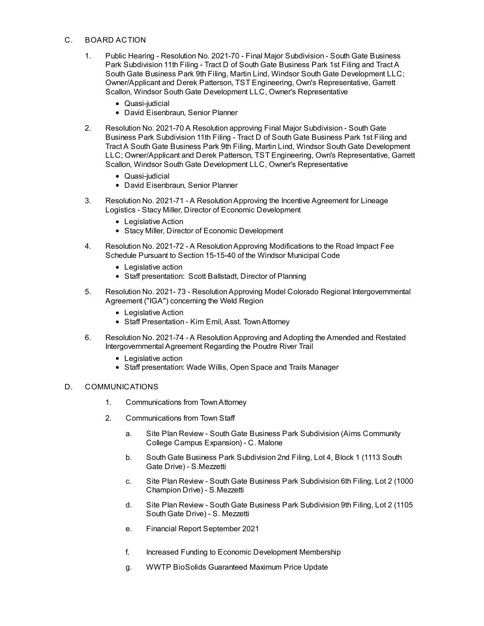#### C. BOARD ACTION

- 1. Public Hearing Resolution No. 2021-70 Final Major Subdivision South Gate Business Park Subdivision 11th Filing - Tract D of South Gate Business Park 1st Filing and Tract A South Gate Business Park 9th Filing, Martin Lind, Windsor South Gate Development LLC; [Owner/Applicant](file:///C:/Windows/TEMP/CoverSheet.aspx?ItemID=1772&MeetingID=260) and Derek Patterson, TST Engineering, Own's Representative, Garrett Scallon, Windsor South Gate Development LLC, Owner's Representative
	- Quasi-judicial
	- David Eisenbraun, Senior Planner
- 2. Resolution No. 2021-70 A Resolution approving Final Major Subdivision South Gate Business Park Subdivision 11th Filing - Tract D of South Gate Business Park 1st Filing and Tract A South Gate Business Park 9th Filing, Martin Lind, Windsor South Gate Development LLC; [Owner/Applicant](file:///C:/Windows/TEMP/CoverSheet.aspx?ItemID=1773&MeetingID=260) and Derek Patterson, TST Engineering, Own's Representative, Garrett Scallon, Windsor South Gate Development LLC, Owner's Representative
	- Quasi-judicial
	- David Eisenbraun, Senior Planner
- 3. Resolution No. 2021-71 A [ResolutionApproving](file:///C:/Windows/TEMP/CoverSheet.aspx?ItemID=1778&MeetingID=260) the Incentive Agreement for Lineage Logistics - Stacy Miller, Director of Economic Development
	- Legislative Action
	- Stacy Miller, Director of Economic Development
- 4. Resolution No. 2021-72 A [ResolutionApproving](file:///C:/Windows/TEMP/CoverSheet.aspx?ItemID=1745&MeetingID=260) Modifications to the Road Impact Fee Schedule Pursuant to Section 15-15-40 of the Windsor Municipal Code
	- Legislative action
	- Staff presentation: Scott Ballstadt, Director of Planning
- 5. Resolution No. 2021- 73 [ResolutionApproving](file:///C:/Windows/TEMP/CoverSheet.aspx?ItemID=1761&MeetingID=260) Model Colorado Regional Intergovernmental Agreement ("IGA") concerning the Weld Region
	- Legislative Action
	- Staff Presentation Kim Emil, Asst. TownAttorney
- 6. Resolution No. 2021-74 A [ResolutionApproving](file:///C:/Windows/TEMP/CoverSheet.aspx?ItemID=1783&MeetingID=260) and Adopting the Amended and Restated Intergovernmental Agreement Regarding the Poudre River Trail
	- Legislative action
	- Staff presentation: Wade Willis, Open Space and Trails Manager

#### D. COMMUNICATIONS

- 1. Communications from TownAttorney
- 2. Communications from Town Staff
	- a. Site Plan Review South Gate Business Park [Subdivision](file:///C:/Windows/TEMP/CoverSheet.aspx?ItemID=1757&MeetingID=260) (Aims Community College Campus Expansion) - C. Malone
	- b. South Gate Business Park [Subdivision](file:///C:/Windows/TEMP/CoverSheet.aspx?ItemID=1771&MeetingID=260) 2nd Filing, Lot 4, Block 1 (1113 South Gate Drive) - S.Mezzetti
	- c. Site Plan Review South Gate Business Park [Subdivision](file:///C:/Windows/TEMP/CoverSheet.aspx?ItemID=1774&MeetingID=260) 6th Filing, Lot 2 (1000 Champion Drive) - S.Mezzetti
	- d. Site Plan Review South Gate Business Park [Subdivision](file:///C:/Windows/TEMP/CoverSheet.aspx?ItemID=1775&MeetingID=260) 9th Filing, Lot 2 (1105 South Gate Drive) - S. Mezzetti
	- e. Financial Report September 2021
	- f. Increased Funding to Economic [Development](file:///C:/Windows/TEMP/CoverSheet.aspx?ItemID=1780&MeetingID=260) Membership
	- g. WWTP BioSolids [Guaranteed](file:///C:/Windows/TEMP/CoverSheet.aspx?ItemID=1784&MeetingID=260) Maximum Price Update